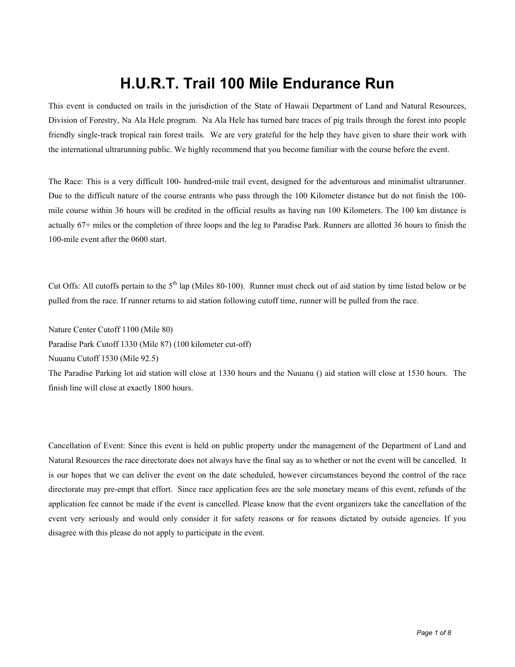## **H.U.R.T. Trail 100 Mile Endurance Run**

This event is conducted on trails in the jurisdiction of the State of Hawaii Department of Land and Natural Resources, Division of Forestry, Na Ala Hele program. Na Ala Hele has turned bare traces of pig trails through the forest into people friendly single-track tropical rain forest trails. We are very grateful for the help they have given to share their work with the international ultrarunning public. We highly recommend that you become familiar with the course before the event.

The Race: This is a very difficult 100- hundred-mile trail event, designed for the adventurous and minimalist ultrarunner. Due to the difficult nature of the course entrants who pass through the 100 Kilometer distance but do not finish the 100 mile course within 36 hours will be credited in the official results as having run 100 Kilometers. The 100 km distance is actually 67+ miles or the completion of three loops and the leg to Paradise Park. Runners are allotted 36 hours to finish the 100-mile event after the 0600 start.

Cut Offs: All cutoffs pertain to the  $5<sup>th</sup>$  lap (Miles 80-100). Runner must check out of aid station by time listed below or be pulled from the race. If runner returns to aid station following cutoff time, runner will be pulled from the race.

Nature Center Cutoff 1100 (Mile 80)

Paradise Park Cutoff 1330 (Mile 87) (100 kilometer cut-off)

Nuuanu Cutoff 1530 (Mile 92.5)

The Paradise Parking lot aid station will close at 1330 hours and the Nuuanu () aid station will close at 1530 hours. The finish line will close at exactly 1800 hours.

Cancellation of Event: Since this event is held on public property under the management of the Department of Land and Natural Resources the race directorate does not always have the final say as to whether or not the event will be cancelled. It is our hopes that we can deliver the event on the date scheduled, however circumstances beyond the control of the race directorate may pre-empt that effort. Since race application fees are the sole monetary means of this event, refunds of the application fee cannot be made if the event is cancelled. Please know that the event organizers take the cancellation of the event very seriously and would only consider it for safety reasons or for reasons dictated by outside agencies. If you disagree with this please do not apply to participate in the event.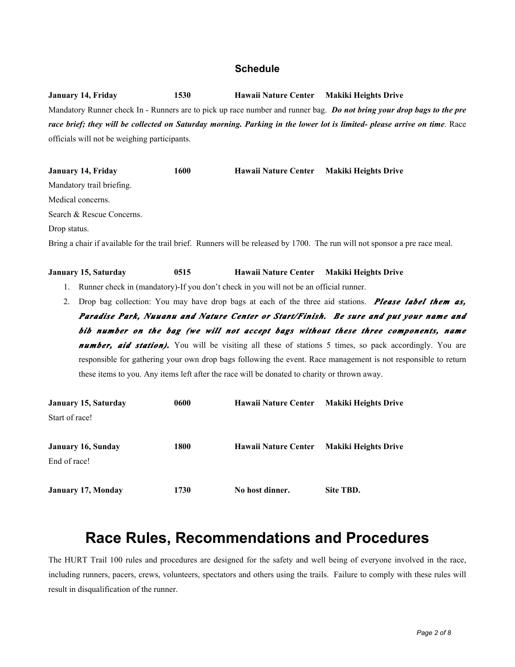#### **Schedule**

**January 14, Friday 1530 Hawaii Nature Center Makiki Heights Drive** Mandatory Runner check In - Runners are to pick up race number and runner bag. *Do not bring your drop bags to the pre*  race brief; they will be collected on Saturday morning. Parking in the lower lot is limited- please arrive on time. Race officials will not be weighing participants.

**January 14, Friday 1600 Hawaii Nature Center Makiki Heights Drive** Mandatory trail briefing. Medical concerns. Search & Rescue Concerns. Drop status. Bring a chair if available for the trail brief. Runners will be released by 1700. The run will not sponsor a pre race meal.

#### **January 15, Saturday 0515 Hawaii Nature Center Makiki Heights Drive**

- 1. Runner check in (mandatory)-If you don't check in you will not be an official runner.
- 2. Drop bag collection: You may have drop bags at each of the three aid stations. *Please label them as, Paradise Park, Nuuanu and Nature Center or Start/Finish. Be sure and put your name and bib number on the bag (we will not accept bags without these three components, name number, aid station)*. You will be visiting all these of stations 5 times, so pack accordingly. You are responsible for gathering your own drop bags following the event. Race management is not responsible to return these items to you. Any items left after the race will be donated to charity or thrown away.

| January 15, Saturday | 0600 | Hawaii Nature Center        | <b>Makiki Heights Drive</b> |
|----------------------|------|-----------------------------|-----------------------------|
| Start of race!       |      |                             |                             |
| January 16, Sunday   | 1800 | <b>Hawaii Nature Center</b> | <b>Makiki Heights Drive</b> |
| End of race!         |      |                             |                             |
| January 17, Monday   | 1730 | No host dinner.             | Site TBD.                   |

### **Race Rules, Recommendations and Procedures**

The HURT Trail 100 rules and procedures are designed for the safety and well being of everyone involved in the race, including runners, pacers, crews, volunteers, spectators and others using the trails. Failure to comply with these rules will result in disqualification of the runner.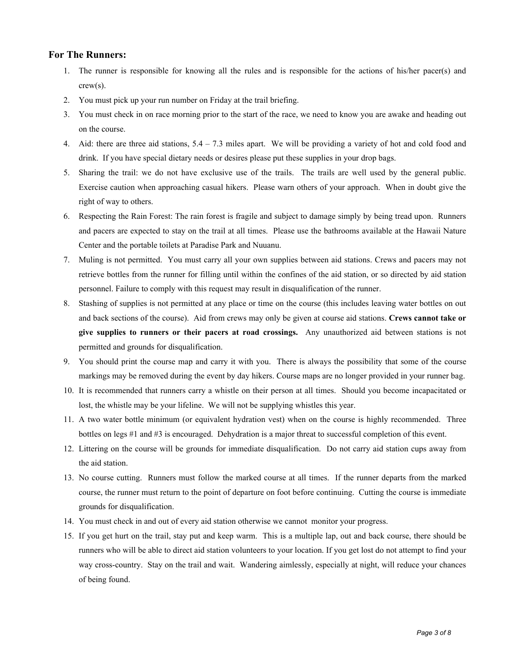#### **For The Runners:**

- 1. The runner is responsible for knowing all the rules and is responsible for the actions of his/her pacer(s) and crew(s).
- 2. You must pick up your run number on Friday at the trail briefing.
- 3. You must check in on race morning prior to the start of the race, we need to know you are awake and heading out on the course.
- 4. Aid: there are three aid stations,  $5.4 7.3$  miles apart. We will be providing a variety of hot and cold food and drink. If you have special dietary needs or desires please put these supplies in your drop bags.
- 5. Sharing the trail: we do not have exclusive use of the trails. The trails are well used by the general public. Exercise caution when approaching casual hikers. Please warn others of your approach. When in doubt give the right of way to others.
- 6. Respecting the Rain Forest: The rain forest is fragile and subject to damage simply by being tread upon. Runners and pacers are expected to stay on the trail at all times. Please use the bathrooms available at the Hawaii Nature Center and the portable toilets at Paradise Park and Nuuanu.
- 7. Muling is not permitted. You must carry all your own supplies between aid stations. Crews and pacers may not retrieve bottles from the runner for filling until within the confines of the aid station, or so directed by aid station personnel. Failure to comply with this request may result in disqualification of the runner.
- 8. Stashing of supplies is not permitted at any place or time on the course (this includes leaving water bottles on out and back sections of the course). Aid from crews may only be given at course aid stations. **Crews cannot take or give supplies to runners or their pacers at road crossings.** Any unauthorized aid between stations is not permitted and grounds for disqualification.
- 9. You should print the course map and carry it with you. There is always the possibility that some of the course markings may be removed during the event by day hikers. Course maps are no longer provided in your runner bag.
- 10. It is recommended that runners carry a whistle on their person at all times. Should you become incapacitated or lost, the whistle may be your lifeline. We will not be supplying whistles this year.
- 11. A two water bottle minimum (or equivalent hydration vest) when on the course is highly recommended. Three bottles on legs #1 and #3 is encouraged. Dehydration is a major threat to successful completion of this event.
- 12. Littering on the course will be grounds for immediate disqualification. Do not carry aid station cups away from the aid station.
- 13. No course cutting. Runners must follow the marked course at all times. If the runner departs from the marked course, the runner must return to the point of departure on foot before continuing. Cutting the course is immediate grounds for disqualification.
- 14. You must check in and out of every aid station otherwise we cannot monitor your progress.
- 15. If you get hurt on the trail, stay put and keep warm. This is a multiple lap, out and back course, there should be runners who will be able to direct aid station volunteers to your location. If you get lost do not attempt to find your way cross-country. Stay on the trail and wait. Wandering aimlessly, especially at night, will reduce your chances of being found.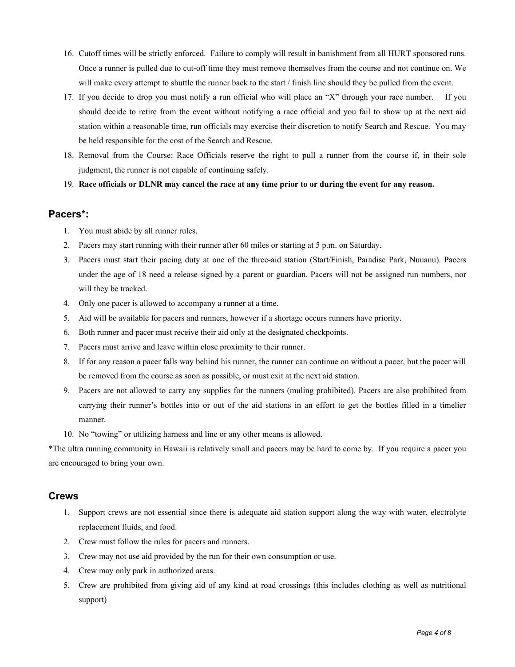- 16. Cutoff times will be strictly enforced. Failure to comply will result in banishment from all HURT sponsored runs. Once a runner is pulled due to cut-off time they must remove themselves from the course and not continue on. We will make every attempt to shuttle the runner back to the start / finish line should they be pulled from the event.
- 17. If you decide to drop you must notify a run official who will place an "X" through your race number. If you should decide to retire from the event without notifying a race official and you fail to show up at the next aid station within a reasonable time, run officials may exercise their discretion to notify Search and Rescue. You may be held responsible for the cost of the Search and Rescue.
- 18. Removal from the Course: Race Officials reserve the right to pull a runner from the course if, in their sole judgment, the runner is not capable of continuing safely.
- 19. **Race officials or DLNR may cancel the race at any time prior to or during the event for any reason.**

#### **Pacers\*:**

- 1. You must abide by all runner rules.
- 2. Pacers may start running with their runner after 60 miles or starting at 5 p.m. on Saturday.
- 3. Pacers must start their pacing duty at one of the three-aid station (Start/Finish, Paradise Park, Nuuanu). Pacers under the age of 18 need a release signed by a parent or guardian. Pacers will not be assigned run numbers, nor will they be tracked.
- 4. Only one pacer is allowed to accompany a runner at a time.
- 5. Aid will be available for pacers and runners, however if a shortage occurs runners have priority.
- 6. Both runner and pacer must receive their aid only at the designated checkpoints.
- 7. Pacers must arrive and leave within close proximity to their runner.
- 8. If for any reason a pacer falls way behind his runner, the runner can continue on without a pacer, but the pacer will be removed from the course as soon as possible, or must exit at the next aid station.
- 9. Pacers are not allowed to carry any supplies for the runners (muling prohibited). Pacers are also prohibited from carrying their runner's bottles into or out of the aid stations in an effort to get the bottles filled in a timelier manner.
- 10. No "towing" or utilizing harness and line or any other means is allowed.

\*The ultra running community in Hawaii is relatively small and pacers may be hard to come by. If you require a pacer you are encouraged to bring your own.

#### **Crews**

- 1. Support crews are not essential since there is adequate aid station support along the way with water, electrolyte replacement fluids, and food.
- 2. Crew must follow the rules for pacers and runners.
- 3. Crew may not use aid provided by the run for their own consumption or use.
- 4. Crew may only park in authorized areas.
- 5. Crew are prohibited from giving aid of any kind at road crossings (this includes clothing as well as nutritional support)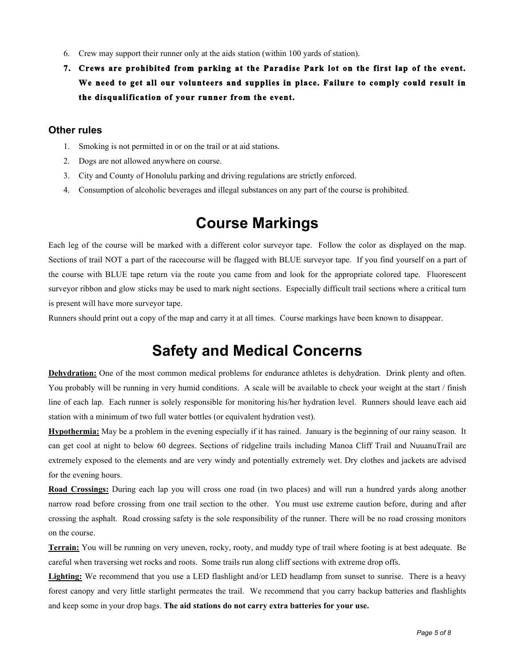- 6. Crew may support their runner only at the aids station (within 100 yards of station).
- **7. Crews are prohibited from parking at the Paradise Park lot on the first lap of the event. We need to get all our volunteers and supplies in place. Failure to comply could result in the disqualification of your runner from the event.**

#### **Other rules**

- 1. Smoking is not permitted in or on the trail or at aid stations.
- 2. Dogs are not allowed anywhere on course.
- 3. City and County of Honolulu parking and driving regulations are strictly enforced.
- 4. Consumption of alcoholic beverages and illegal substances on any part of the course is prohibited.

## **Course Markings**

Each leg of the course will be marked with a different color surveyor tape. Follow the color as displayed on the map. Sections of trail NOT a part of the racecourse will be flagged with BLUE surveyor tape. If you find yourself on a part of the course with BLUE tape return via the route you came from and look for the appropriate colored tape. Fluorescent surveyor ribbon and glow sticks may be used to mark night sections. Especially difficult trail sections where a critical turn is present will have more surveyor tape.

Runners should print out a copy of the map and carry it at all times. Course markings have been known to disappear.

### **Safety and Medical Concerns**

**Dehydration:** One of the most common medical problems for endurance athletes is dehydration. Drink plenty and often. You probably will be running in very humid conditions. A scale will be available to check your weight at the start / finish line of each lap. Each runner is solely responsible for monitoring his/her hydration level. Runners should leave each aid station with a minimum of two full water bottles (or equivalent hydration vest).

**Hypothermia:** May be a problem in the evening especially if it has rained. January is the beginning of our rainy season. It can get cool at night to below 60 degrees. Sections of ridgeline trails including Manoa Cliff Trail and NuuanuTrail are extremely exposed to the elements and are very windy and potentially extremely wet. Dry clothes and jackets are advised for the evening hours.

**Road Crossings:** During each lap you will cross one road (in two places) and will run a hundred yards along another narrow road before crossing from one trail section to the other. You must use extreme caution before, during and after crossing the asphalt. Road crossing safety is the sole responsibility of the runner. There will be no road crossing monitors on the course.

**Terrain:** You will be running on very uneven, rocky, rooty, and muddy type of trail where footing is at best adequate. Be careful when traversing wet rocks and roots. Some trails run along cliff sections with extreme drop offs.

Lighting: We recommend that you use a LED flashlight and/or LED headlamp from sunset to sunrise. There is a heavy forest canopy and very little starlight permeates the trail. We recommend that you carry backup batteries and flashlights and keep some in your drop bags. **The aid stations do not carry extra batteries for your use.**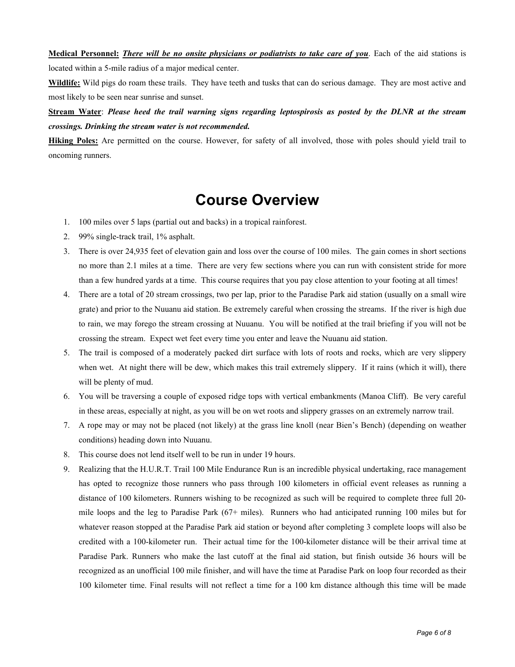**Medical Personnel:** *There will be no onsite physicians or podiatrists to take care of you*. Each of the aid stations is

located within a 5-mile radius of a major medical center.

**Wildlife:** Wild pigs do roam these trails. They have teeth and tusks that can do serious damage. They are most active and most likely to be seen near sunrise and sunset.

**Stream Water**: *Please heed the trail warning signs regarding leptospirosis as posted by the DLNR at the stream crossings. Drinking the stream water is not recommended.*

**Hiking Poles:** Are permitted on the course. However, for safety of all involved, those with poles should yield trail to oncoming runners.

### **Course Overview**

- 1. 100 miles over 5 laps (partial out and backs) in a tropical rainforest.
- 2. 99% single-track trail, 1% asphalt.
- 3. There is over 24,935 feet of elevation gain and loss over the course of 100 miles. The gain comes in short sections no more than 2.1 miles at a time. There are very few sections where you can run with consistent stride for more than a few hundred yards at a time. This course requires that you pay close attention to your footing at all times!
- 4. There are a total of 20 stream crossings, two per lap, prior to the Paradise Park aid station (usually on a small wire grate) and prior to the Nuuanu aid station. Be extremely careful when crossing the streams. If the river is high due to rain, we may forego the stream crossing at Nuuanu. You will be notified at the trail briefing if you will not be crossing the stream. Expect wet feet every time you enter and leave the Nuuanu aid station.
- 5. The trail is composed of a moderately packed dirt surface with lots of roots and rocks, which are very slippery when wet. At night there will be dew, which makes this trail extremely slippery. If it rains (which it will), there will be plenty of mud.
- 6. You will be traversing a couple of exposed ridge tops with vertical embankments (Manoa Cliff). Be very careful in these areas, especially at night, as you will be on wet roots and slippery grasses on an extremely narrow trail.
- 7. A rope may or may not be placed (not likely) at the grass line knoll (near Bien's Bench) (depending on weather conditions) heading down into Nuuanu.
- 8. This course does not lend itself well to be run in under 19 hours.
- 9. Realizing that the H.U.R.T. Trail 100 Mile Endurance Run is an incredible physical undertaking, race management has opted to recognize those runners who pass through 100 kilometers in official event releases as running a distance of 100 kilometers. Runners wishing to be recognized as such will be required to complete three full 20 mile loops and the leg to Paradise Park (67+ miles). Runners who had anticipated running 100 miles but for whatever reason stopped at the Paradise Park aid station or beyond after completing 3 complete loops will also be credited with a 100-kilometer run. Their actual time for the 100-kilometer distance will be their arrival time at Paradise Park. Runners who make the last cutoff at the final aid station, but finish outside 36 hours will be recognized as an unofficial 100 mile finisher, and will have the time at Paradise Park on loop four recorded as their 100 kilometer time. Final results will not reflect a time for a 100 km distance although this time will be made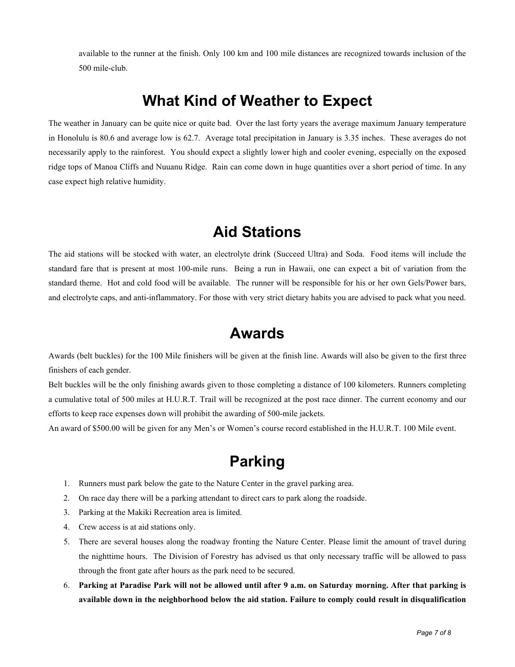available to the runner at the finish. Only 100 km and 100 mile distances are recognized towards inclusion of the 500 mile-club.

### **What Kind of Weather to Expect**

The weather in January can be quite nice or quite bad. Over the last forty years the average maximum January temperature in Honolulu is 80.6 and average low is 62.7. Average total precipitation in January is 3.35 inches. These averages do not necessarily apply to the rainforest. You should expect a slightly lower high and cooler evening, especially on the exposed ridge tops of Manoa Cliffs and Nuuanu Ridge. Rain can come down in huge quantities over a short period of time. In any case expect high relative humidity.

### **Aid Stations**

The aid stations will be stocked with water, an electrolyte drink (Succeed Ultra) and Soda. Food items will include the standard fare that is present at most 100-mile runs. Being a run in Hawaii, one can expect a bit of variation from the standard theme. Hot and cold food will be available. The runner will be responsible for his or her own Gels/Power bars, and electrolyte caps, and anti-inflammatory. For those with very strict dietary habits you are advised to pack what you need.

### **Awards**

Awards (belt buckles) for the 100 Mile finishers will be given at the finish line. Awards will also be given to the first three finishers of each gender.

Belt buckles will be the only finishing awards given to those completing a distance of 100 kilometers. Runners completing a cumulative total of 500 miles at H.U.R.T. Trail will be recognized at the post race dinner. The current economy and our efforts to keep race expenses down will prohibit the awarding of 500-mile jackets.

An award of \$500.00 will be given for any Men's or Women's course record established in the H.U.R.T. 100 Mile event.

# **Parking**

- 1. Runners must park below the gate to the Nature Center in the gravel parking area.
- 2. On race day there will be a parking attendant to direct cars to park along the roadside.
- 3. Parking at the Makiki Recreation area is limited.
- 4. Crew access is at aid stations only.
- 5. There are several houses along the roadway fronting the Nature Center. Please limit the amount of travel during the nighttime hours. The Division of Forestry has advised us that only necessary traffic will be allowed to pass through the front gate after hours as the park need to be secured.
- 6. **Parking at Paradise Park will not be allowed until after 9 a.m. on Saturday morning. After that parking is available down in the neighborhood below the aid station. Failure to comply could result in disqualification**